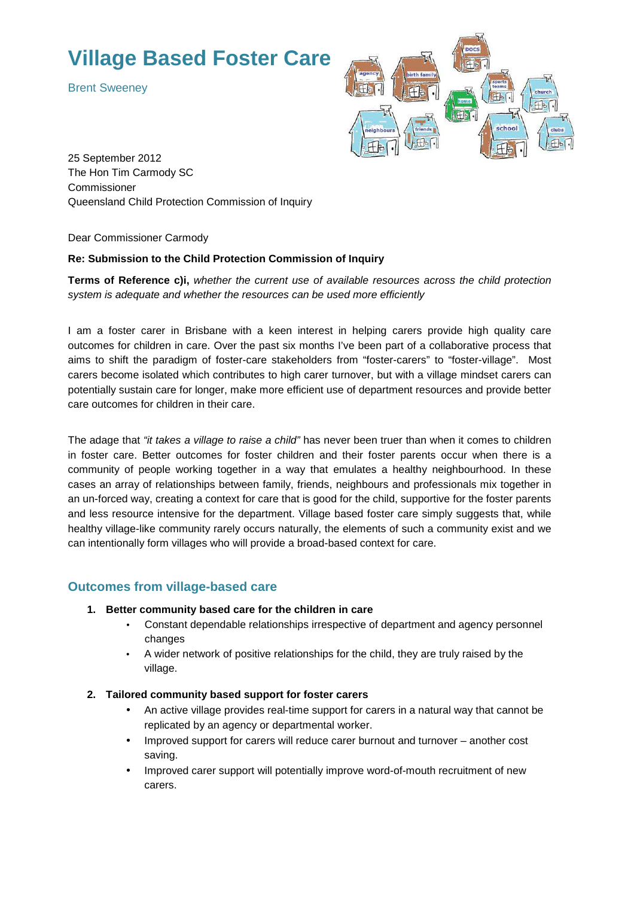# **Village Based Foster Care**

Brent Sweeney



25 September 2012 The Hon Tim Carmody SC Commissioner Queensland Child Protection Commission of Inquiry

Dear Commissioner Carmody

#### **Re: Submission to the Child Protection Commission of Inquiry**

**Terms of Reference c)i,** whether the current use of available resources across the child protection system is adequate and whether the resources can be used more efficiently

I am a foster carer in Brisbane with a keen interest in helping carers provide high quality care outcomes for children in care. Over the past six months I've been part of a collaborative process that aims to shift the paradigm of foster-care stakeholders from "foster-carers" to "foster-village". Most carers become isolated which contributes to high carer turnover, but with a village mindset carers can potentially sustain care for longer, make more efficient use of department resources and provide better care outcomes for children in their care.

The adage that "it takes a village to raise a child" has never been truer than when it comes to children in foster care. Better outcomes for foster children and their foster parents occur when there is a community of people working together in a way that emulates a healthy neighbourhood. In these cases an array of relationships between family, friends, neighbours and professionals mix together in an un-forced way, creating a context for care that is good for the child, supportive for the foster parents and less resource intensive for the department. Village based foster care simply suggests that, while healthy village-like community rarely occurs naturally, the elements of such a community exist and we can intentionally form villages who will provide a broad-based context for care.

## **Outcomes from village-based care**

- **1. Better community based care for the children in care** 
	- Constant dependable relationships irrespective of department and agency personnel changes
	- A wider network of positive relationships for the child, they are truly raised by the village.
- **2. Tailored community based support for foster carers** 
	- An active village provides real-time support for carers in a natural way that cannot be replicated by an agency or departmental worker.
	- Improved support for carers will reduce carer burnout and turnover another cost saving.
	- Improved carer support will potentially improve word-of-mouth recruitment of new carers.